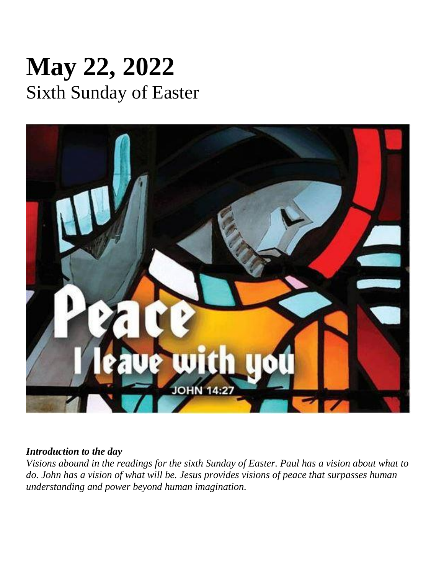# **May 22, 2022** Sixth Sunday of Easter



#### *Introduction to the day*

*Visions abound in the readings for the sixth Sunday of Easter. Paul has a vision about what to do. John has a vision of what will be. Jesus provides visions of peace that surpasses human understanding and power beyond human imagination.*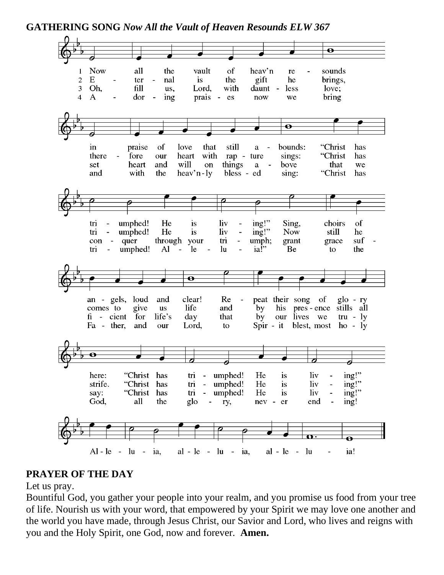**GATHERING SONG** *Now All the Vault of Heaven Resounds ELW 367*



## **PRAYER OF THE DAY**

Let us pray.

Bountiful God, you gather your people into your realm, and you promise us food from your tree of life. Nourish us with your word, that empowered by your Spirit we may love one another and the world you have made, through Jesus Christ, our Savior and Lord, who lives and reigns with you and the Holy Spirit, one God, now and forever. **Amen.**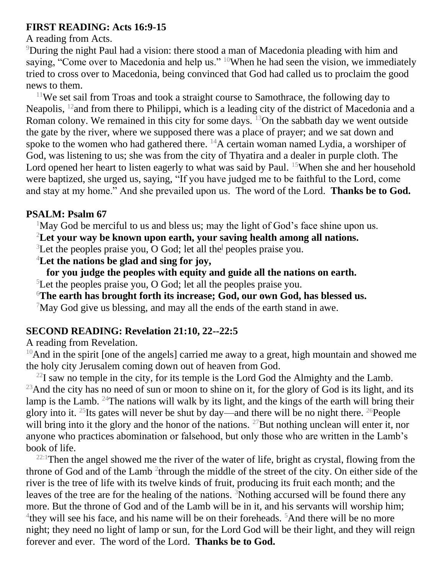# **FIRST READING: Acts 16:9-15**

#### A reading from Acts.

<sup>9</sup>During the night Paul had a vision: there stood a man of Macedonia pleading with him and saying, "Come over to Macedonia and help us." <sup>10</sup>When he had seen the vision, we immediately tried to cross over to Macedonia, being convinced that God had called us to proclaim the good news to them.

<sup>11</sup>We set sail from Troas and took a straight course to Samothrace, the following day to Neapolis, <sup>12</sup> and from there to Philippi, which is a leading city of the district of Macedonia and a Roman colony. We remained in this city for some days. <sup>13</sup>On the sabbath day we went outside the gate by the river, where we supposed there was a place of prayer; and we sat down and spoke to the women who had gathered there.  $^{14}$ A certain woman named Lydia, a worshiper of God, was listening to us; she was from the city of Thyatira and a dealer in purple cloth. The Lord opened her heart to listen eagerly to what was said by Paul. <sup>15</sup>When she and her household were baptized, she urged us, saying, "If you have judged me to be faithful to the Lord, come and stay at my home." And she prevailed upon us. The word of the Lord. **Thanks be to God.**

## **PSALM: Psalm 67**

 $1$ May God be merciful to us and bless us; may the light of God's face shine upon us.

<sup>2</sup>**Let your way be known upon earth, your saving health among all nations.**

<sup>3</sup>Let the peoples praise you, O God; let all the**<sup>|</sup>** peoples praise you.

<sup>4</sup>**Let the nations be glad and sing for joy,**

**for you judge the peoples with equity and guide all the nations on earth.**

<sup>5</sup>Let the peoples praise you, O God; let all the peoples praise you.

<sup>6</sup>**The earth has brought forth its increase; God, our own God, has blessed us.**

 $7$ May God give us blessing, and may all the ends of the earth stand in awe.

# **SECOND READING: Revelation 21:10, 22--22:5**

A reading from Revelation.

 $10$ And in the spirit [one of the angels] carried me away to a great, high mountain and showed me the holy city Jerusalem coming down out of heaven from God.

 $^{22}$ I saw no temple in the city, for its temple is the Lord God the Almighty and the Lamb.  $^{23}$ And the city has no need of sun or moon to shine on it, for the glory of God is its light, and its lamp is the Lamb. <sup>24</sup>The nations will walk by its light, and the kings of the earth will bring their glory into it. <sup>25</sup>Its gates will never be shut by day—and there will be no night there. <sup>26</sup>People will bring into it the glory and the honor of the nations. <sup>27</sup>But nothing unclean will enter it, nor anyone who practices abomination or falsehood, but only those who are written in the Lamb's book of life.

 $22:1$ Then the angel showed me the river of the water of life, bright as crystal, flowing from the throne of God and of the Lamb <sup>2</sup>through the middle of the street of the city. On either side of the river is the tree of life with its twelve kinds of fruit, producing its fruit each month; and the leaves of the tree are for the healing of the nations. <sup>3</sup>Nothing accursed will be found there any more. But the throne of God and of the Lamb will be in it, and his servants will worship him; <sup>4</sup>they will see his face, and his name will be on their foreheads. <sup>5</sup>And there will be no more night; they need no light of lamp or sun, for the Lord God will be their light, and they will reign forever and ever. The word of the Lord. **Thanks be to God.**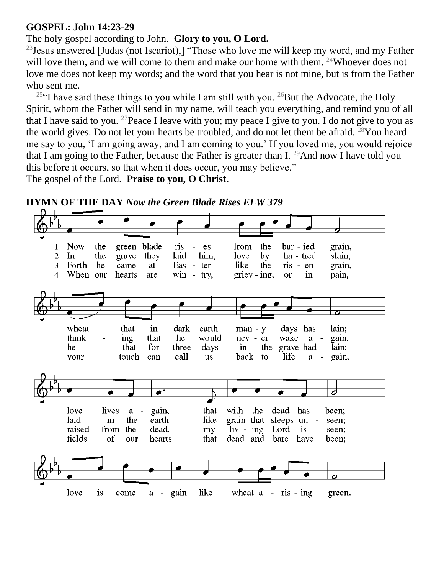## **GOSPEL: John 14:23-29**

# The holy gospel according to John. **Glory to you, O Lord.**

<sup>23</sup> Jesus answered [Judas (not Iscariot),] "Those who love me will keep my word, and my Father will love them, and we will come to them and make our home with them. <sup>24</sup>Whoever does not love me does not keep my words; and the word that you hear is not mine, but is from the Father who sent me.

<sup>25"</sup>I have said these things to you while I am still with you. <sup>26</sup>But the Advocate, the Holy Spirit, whom the Father will send in my name, will teach you everything, and remind you of all that I have said to you. <sup>27</sup> Peace I leave with you; my peace I give to you. I do not give to you as the world gives. Do not let your hearts be troubled, and do not let them be afraid. <sup>28</sup>You heard me say to you, 'I am going away, and I am coming to you.' If you loved me, you would rejoice that I am going to the Father, because the Father is greater than I.  $^{29}$ And now I have told you this before it occurs, so that when it does occur, you may believe."

The gospel of the Lord. **Praise to you, O Christ.**



**HYMN OF THE DAY** *Now the Green Blade Rises ELW 379*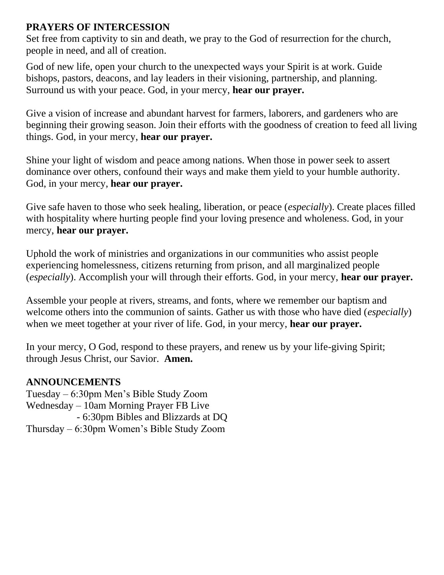# **PRAYERS OF INTERCESSION**

Set free from captivity to sin and death, we pray to the God of resurrection for the church, people in need, and all of creation.

God of new life, open your church to the unexpected ways your Spirit is at work. Guide bishops, pastors, deacons, and lay leaders in their visioning, partnership, and planning. Surround us with your peace. God, in your mercy, **hear our prayer.**

Give a vision of increase and abundant harvest for farmers, laborers, and gardeners who are beginning their growing season. Join their efforts with the goodness of creation to feed all living things. God, in your mercy, **hear our prayer.**

Shine your light of wisdom and peace among nations. When those in power seek to assert dominance over others, confound their ways and make them yield to your humble authority. God, in your mercy, **hear our prayer.**

Give safe haven to those who seek healing, liberation, or peace (*especially*). Create places filled with hospitality where hurting people find your loving presence and wholeness. God, in your mercy, **hear our prayer.**

Uphold the work of ministries and organizations in our communities who assist people experiencing homelessness, citizens returning from prison, and all marginalized people (*especially*). Accomplish your will through their efforts. God, in your mercy, **hear our prayer.**

Assemble your people at rivers, streams, and fonts, where we remember our baptism and welcome others into the communion of saints. Gather us with those who have died (*especially*) when we meet together at your river of life. God, in your mercy, **hear our prayer.**

In your mercy, O God, respond to these prayers, and renew us by your life-giving Spirit; through Jesus Christ, our Savior. **Amen.**

## **ANNOUNCEMENTS**

Tuesday – 6:30pm Men's Bible Study Zoom Wednesday – 10am Morning Prayer FB Live - 6:30pm Bibles and Blizzards at DQ Thursday – 6:30pm Women's Bible Study Zoom